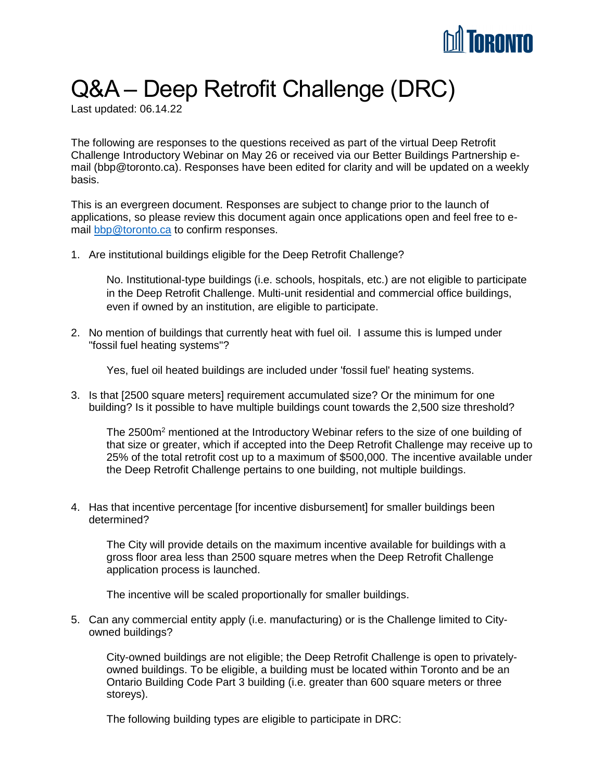

## Q&A – Deep Retrofit Challenge (DRC)

Last updated: 06.14.22

The following are responses to the questions received as part of the virtual Deep Retrofit Challenge Introductory Webinar on May 26 or received via our Better Buildings Partnership email (bbp@toronto.ca). Responses have been edited for clarity and will be updated on a weekly basis.

This is an evergreen document. Responses are subject to change prior to the launch of applications, so please review this document again once applications open and feel free to email [bbp@toronto.ca](mailto:bbp@toronto.ca) to confirm responses.

1. Are institutional buildings eligible for the Deep Retrofit Challenge?

No. Institutional-type buildings (i.e. schools, hospitals, etc.) are not eligible to participate in the Deep Retrofit Challenge. Multi-unit residential and commercial office buildings, even if owned by an institution, are eligible to participate.

2. No mention of buildings that currently heat with fuel oil. I assume this is lumped under "fossil fuel heating systems"?

Yes, fuel oil heated buildings are included under 'fossil fuel' heating systems.

3. Is that [2500 square meters] requirement accumulated size? Or the minimum for one building? Is it possible to have multiple buildings count towards the 2,500 size threshold?

The 2500m<sup>2</sup> mentioned at the Introductory Webinar refers to the size of one building of that size or greater, which if accepted into the Deep Retrofit Challenge may receive up to 25% of the total retrofit cost up to a maximum of \$500,000. The incentive available under the Deep Retrofit Challenge pertains to one building, not multiple buildings.

4. Has that incentive percentage [for incentive disbursement] for smaller buildings been determined?

The City will provide details on the maximum incentive available for buildings with a gross floor area less than 2500 square metres when the Deep Retrofit Challenge application process is launched.

The incentive will be scaled proportionally for smaller buildings.

5. Can any commercial entity apply (i.e. manufacturing) or is the Challenge limited to Cityowned buildings?

City-owned buildings are not eligible; the Deep Retrofit Challenge is open to privatelyowned buildings. To be eligible, a building must be located within Toronto and be an Ontario Building Code Part 3 building (i.e. greater than 600 square meters or three storeys).

The following building types are eligible to participate in DRC: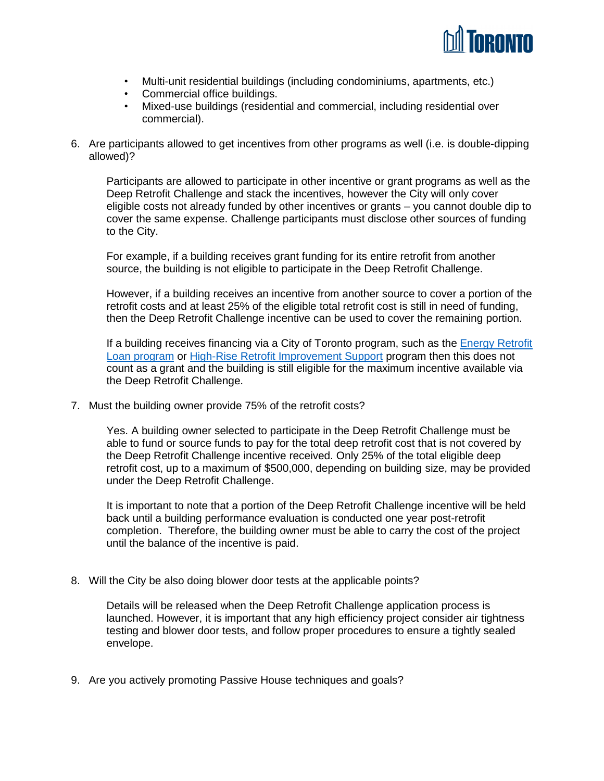

- Multi-unit residential buildings (including condominiums, apartments, etc.)
- Commercial office buildings.
- Mixed-use buildings (residential and commercial, including residential over commercial).
- 6. Are participants allowed to get incentives from other programs as well (i.e. is double-dipping allowed)?

Participants are allowed to participate in other incentive or grant programs as well as the Deep Retrofit Challenge and stack the incentives, however the City will only cover eligible costs not already funded by other incentives or grants – you cannot double dip to cover the same expense. Challenge participants must disclose other sources of funding to the City.

For example, if a building receives grant funding for its entire retrofit from another source, the building is not eligible to participate in the Deep Retrofit Challenge.

However, if a building receives an incentive from another source to cover a portion of the retrofit costs and at least 25% of the eligible total retrofit cost is still in need of funding, then the Deep Retrofit Challenge incentive can be used to cover the remaining portion.

If a building receives financing via a City of Toronto program, such as the [Energy Retrofit](https://www.toronto.ca/services-payments/water-environment/environmental-grants-incentives/energy-retrofit-loans/)  [Loan](https://www.toronto.ca/services-payments/water-environment/environmental-grants-incentives/energy-retrofit-loans/) program or [High-Rise Retrofit Improvement Support](https://www.toronto.ca/community-people/community-partners/apartment-building-operators/hi-ris/program-overview/) program then this does not count as a grant and the building is still eligible for the maximum incentive available via the Deep Retrofit Challenge.

7. Must the building owner provide 75% of the retrofit costs?

Yes. A building owner selected to participate in the Deep Retrofit Challenge must be able to fund or source funds to pay for the total deep retrofit cost that is not covered by the Deep Retrofit Challenge incentive received. Only 25% of the total eligible deep retrofit cost, up to a maximum of \$500,000, depending on building size, may be provided under the Deep Retrofit Challenge.

It is important to note that a portion of the Deep Retrofit Challenge incentive will be held back until a building performance evaluation is conducted one year post-retrofit completion. Therefore, the building owner must be able to carry the cost of the project until the balance of the incentive is paid.

8. Will the City be also doing blower door tests at the applicable points?

Details will be released when the Deep Retrofit Challenge application process is launched. However, it is important that any high efficiency project consider air tightness testing and blower door tests, and follow proper procedures to ensure a tightly sealed envelope.

9. Are you actively promoting Passive House techniques and goals?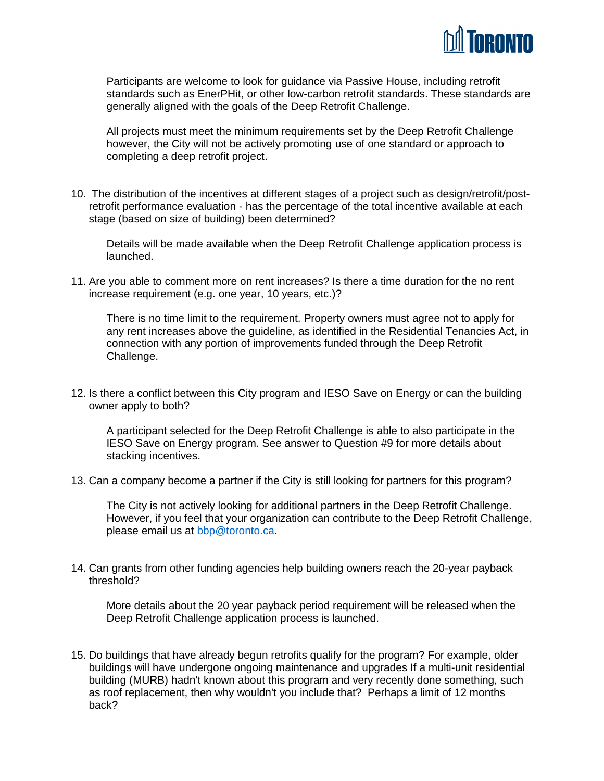

Participants are welcome to look for guidance via Passive House, including retrofit standards such as EnerPHit, or other low-carbon retrofit standards. These standards are generally aligned with the goals of the Deep Retrofit Challenge.

All projects must meet the minimum requirements set by the Deep Retrofit Challenge however, the City will not be actively promoting use of one standard or approach to completing a deep retrofit project.

10. The distribution of the incentives at different stages of a project such as design/retrofit/postretrofit performance evaluation - has the percentage of the total incentive available at each stage (based on size of building) been determined?

Details will be made available when the Deep Retrofit Challenge application process is launched.

11. Are you able to comment more on rent increases? Is there a time duration for the no rent increase requirement (e.g. one year, 10 years, etc.)?

There is no time limit to the requirement. Property owners must agree not to apply for any rent increases above the guideline, as identified in the Residential Tenancies Act, in connection with any portion of improvements funded through the Deep Retrofit Challenge.

12. Is there a conflict between this City program and IESO Save on Energy or can the building owner apply to both?

A participant selected for the Deep Retrofit Challenge is able to also participate in the IESO Save on Energy program. See answer to Question #9 for more details about stacking incentives.

13. Can a company become a partner if the City is still looking for partners for this program?

The City is not actively looking for additional partners in the Deep Retrofit Challenge. However, if you feel that your organization can contribute to the Deep Retrofit Challenge, please email us at [bbp@toronto.ca.](mailto:bbp@toronto.ca)

14. Can grants from other funding agencies help building owners reach the 20-year payback threshold?

More details about the 20 year payback period requirement will be released when the Deep Retrofit Challenge application process is launched.

15. Do buildings that have already begun retrofits qualify for the program? For example, older buildings will have undergone ongoing maintenance and upgrades If a multi-unit residential building (MURB) hadn't known about this program and very recently done something, such as roof replacement, then why wouldn't you include that? Perhaps a limit of 12 months back?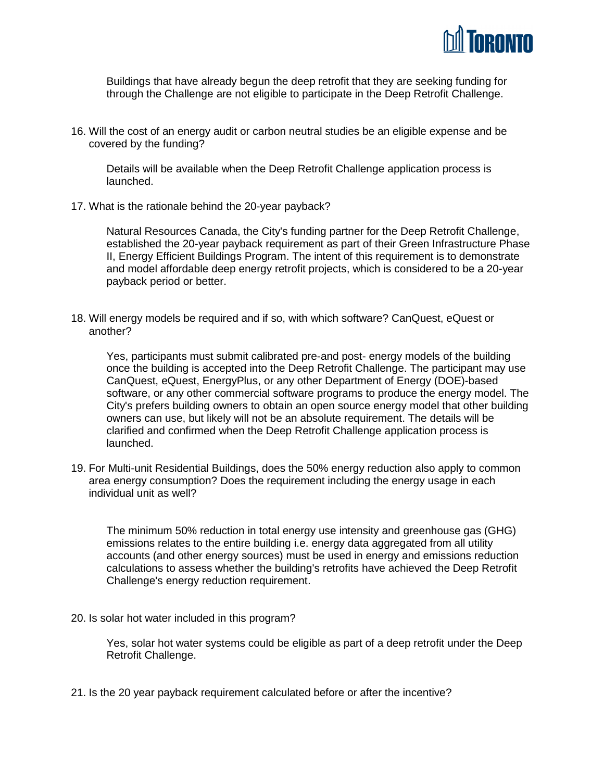

Buildings that have already begun the deep retrofit that they are seeking funding for through the Challenge are not eligible to participate in the Deep Retrofit Challenge.

16. Will the cost of an energy audit or carbon neutral studies be an eligible expense and be covered by the funding?

Details will be available when the Deep Retrofit Challenge application process is launched.

17. What is the rationale behind the 20-year payback?

Natural Resources Canada, the City's funding partner for the Deep Retrofit Challenge, established the 20-year payback requirement as part of their Green Infrastructure Phase II, Energy Efficient Buildings Program. The intent of this requirement is to demonstrate and model affordable deep energy retrofit projects, which is considered to be a 20-year payback period or better.

18. Will energy models be required and if so, with which software? CanQuest, eQuest or another?

Yes, participants must submit calibrated pre-and post- energy models of the building once the building is accepted into the Deep Retrofit Challenge. The participant may use CanQuest, eQuest, EnergyPlus, or any other Department of Energy (DOE)-based software, or any other commercial software programs to produce the energy model. The City's prefers building owners to obtain an open source energy model that other building owners can use, but likely will not be an absolute requirement. The details will be clarified and confirmed when the Deep Retrofit Challenge application process is launched.

19. For Multi-unit Residential Buildings, does the 50% energy reduction also apply to common area energy consumption? Does the requirement including the energy usage in each individual unit as well?

The minimum 50% reduction in total energy use intensity and greenhouse gas (GHG) emissions relates to the entire building i.e. energy data aggregated from all utility accounts (and other energy sources) must be used in energy and emissions reduction calculations to assess whether the building's retrofits have achieved the Deep Retrofit Challenge's energy reduction requirement.

20. Is solar hot water included in this program?

Yes, solar hot water systems could be eligible as part of a deep retrofit under the Deep Retrofit Challenge.

21. Is the 20 year payback requirement calculated before or after the incentive?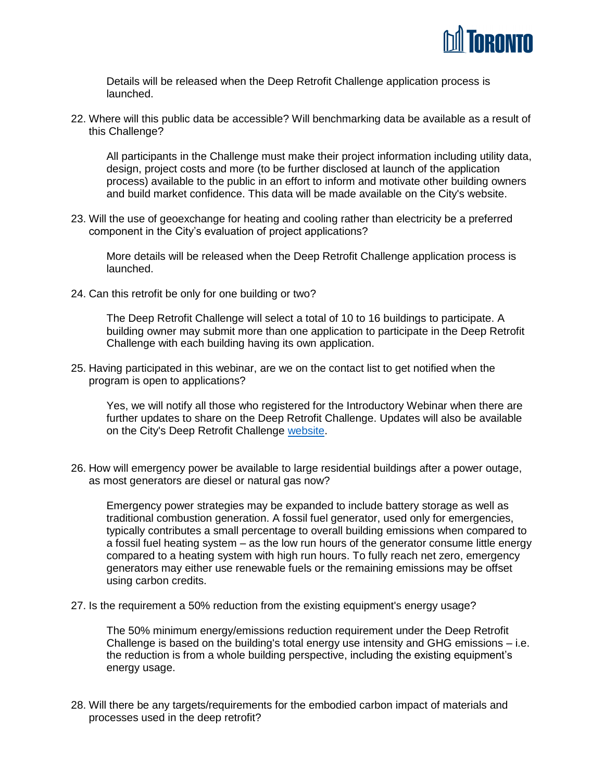

Details will be released when the Deep Retrofit Challenge application process is launched.

22. Where will this public data be accessible? Will benchmarking data be available as a result of this Challenge?

All participants in the Challenge must make their project information including utility data, design, project costs and more (to be further disclosed at launch of the application process) available to the public in an effort to inform and motivate other building owners and build market confidence. This data will be made available on the City's website.

23. Will the use of geoexchange for heating and cooling rather than electricity be a preferred component in the City's evaluation of project applications?

More details will be released when the Deep Retrofit Challenge application process is launched.

24. Can this retrofit be only for one building or two?

The Deep Retrofit Challenge will select a total of 10 to 16 buildings to participate. A building owner may submit more than one application to participate in the Deep Retrofit Challenge with each building having its own application.

25. Having participated in this webinar, are we on the contact list to get notified when the program is open to applications?

Yes, we will notify all those who registered for the Introductory Webinar when there are further updates to share on the Deep Retrofit Challenge. Updates will also be available on the City's Deep Retrofit Challenge [website.](https://www.toronto.ca/business-economy/business-operation-growth/green-your-business/better-buildings-partnership/deep-retrofit-challenge/)

26. How will emergency power be available to large residential buildings after a power outage, as most generators are diesel or natural gas now?

Emergency power strategies may be expanded to include battery storage as well as traditional combustion generation. A fossil fuel generator, used only for emergencies, typically contributes a small percentage to overall building emissions when compared to a fossil fuel heating system – as the low run hours of the generator consume little energy compared to a heating system with high run hours. To fully reach net zero, emergency generators may either use renewable fuels or the remaining emissions may be offset using carbon credits.

27. Is the requirement a 50% reduction from the existing equipment's energy usage?

The 50% minimum energy/emissions reduction requirement under the Deep Retrofit Challenge is based on the building's total energy use intensity and GHG emissions – i.e. the reduction is from a whole building perspective, including the existing equipment's energy usage.

28. Will there be any targets/requirements for the embodied carbon impact of materials and processes used in the deep retrofit?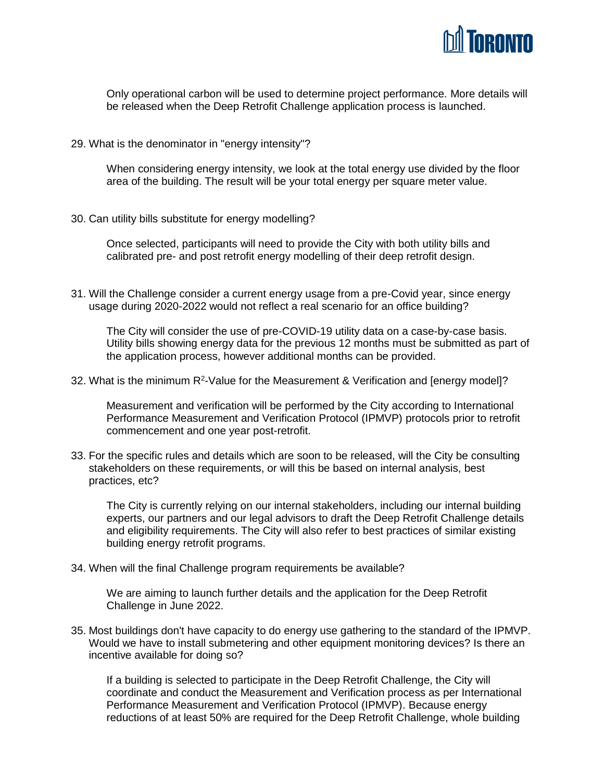

Only operational carbon will be used to determine project performance. More details will be released when the Deep Retrofit Challenge application process is launched.

29. What is the denominator in "energy intensity"?

When considering energy intensity, we look at the total energy use divided by the floor area of the building. The result will be your total energy per square meter value.

30. Can utility bills substitute for energy modelling?

Once selected, participants will need to provide the City with both utility bills and calibrated pre- and post retrofit energy modelling of their deep retrofit design.

31. Will the Challenge consider a current energy usage from a pre-Covid year, since energy usage during 2020-2022 would not reflect a real scenario for an office building?

The City will consider the use of pre-COVID-19 utility data on a case-by-case basis. Utility bills showing energy data for the previous 12 months must be submitted as part of the application process, however additional months can be provided.

32. What is the minimum  $R^2$ -Value for the Measurement & Verification and [energy model]?

Measurement and verification will be performed by the City according to International Performance Measurement and Verification Protocol (IPMVP) protocols prior to retrofit commencement and one year post-retrofit.

33. For the specific rules and details which are soon to be released, will the City be consulting stakeholders on these requirements, or will this be based on internal analysis, best practices, etc?

The City is currently relying on our internal stakeholders, including our internal building experts, our partners and our legal advisors to draft the Deep Retrofit Challenge details and eligibility requirements. The City will also refer to best practices of similar existing building energy retrofit programs.

34. When will the final Challenge program requirements be available?

We are aiming to launch further details and the application for the Deep Retrofit Challenge in June 2022.

35. Most buildings don't have capacity to do energy use gathering to the standard of the IPMVP. Would we have to install submetering and other equipment monitoring devices? Is there an incentive available for doing so?

If a building is selected to participate in the Deep Retrofit Challenge, the City will coordinate and conduct the Measurement and Verification process as per International Performance Measurement and Verification Protocol (IPMVP). Because energy reductions of at least 50% are required for the Deep Retrofit Challenge, whole building